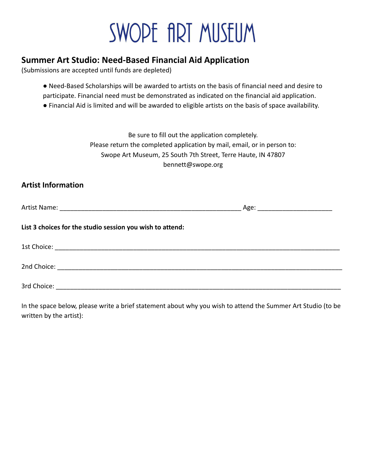## SWOPE fIRT MUSEUM

## **Summer Art Studio: Need-Based Financial Aid Application**

(Submissions are accepted until funds are depleted)

- Need-Based Scholarships will be awarded to artists on the basis of financial need and desire to participate. Financial need must be demonstrated as indicated on the financial aid application.
- Financial Aid is limited and will be awarded to eligible artists on the basis of space availability.

Be sure to fill out the application completely. Please return the completed application by mail, email, or in person to: Swope Art Museum, 25 South 7th Street, Terre Haute, IN 47807 bennett@swope.org

## **Artist Information**

| List 3 choices for the studio session you wish to attend: |  |  |  |
|-----------------------------------------------------------|--|--|--|
|                                                           |  |  |  |
|                                                           |  |  |  |
| 3rd Choice:                                               |  |  |  |

In the space below, please write a brief statement about why you wish to attend the Summer Art Studio (to be written by the artist):